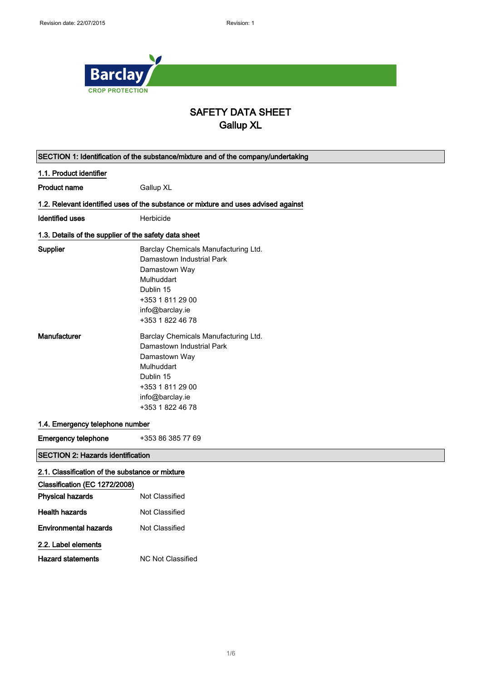

## SAFETY DATA SHEET Gallup XL

|                                                                                  | SECTION 1: Identification of the substance/mixture and of the company/undertaking                                                                                        |
|----------------------------------------------------------------------------------|--------------------------------------------------------------------------------------------------------------------------------------------------------------------------|
| 1.1. Product identifier                                                          |                                                                                                                                                                          |
| <b>Product name</b>                                                              | Gallup XL                                                                                                                                                                |
|                                                                                  | 1.2. Relevant identified uses of the substance or mixture and uses advised against                                                                                       |
| <b>Identified uses</b>                                                           | Herbicide                                                                                                                                                                |
| 1.3. Details of the supplier of the safety data sheet                            |                                                                                                                                                                          |
| Supplier                                                                         | Barclay Chemicals Manufacturing Ltd.<br>Damastown Industrial Park<br>Damastown Way<br>Mulhuddart                                                                         |
|                                                                                  | Dublin 15<br>+353 1 811 29 00<br>info@barclay.ie<br>+353 1 822 46 78                                                                                                     |
| <b>Manufacturer</b>                                                              | Barclay Chemicals Manufacturing Ltd.<br>Damastown Industrial Park<br>Damastown Way<br>Mulhuddart<br>Dublin 15<br>+353 1 811 29 00<br>info@barclay.ie<br>+353 1 822 46 78 |
| 1.4. Emergency telephone number                                                  |                                                                                                                                                                          |
| <b>Emergency telephone</b>                                                       | +353 86 385 77 69                                                                                                                                                        |
| <b>SECTION 2: Hazards identification</b>                                         |                                                                                                                                                                          |
| 2.1. Classification of the substance or mixture<br>Classification (EC 1272/2008) |                                                                                                                                                                          |
| <b>Physical hazards</b>                                                          | Not Classified                                                                                                                                                           |
| <b>Health hazards</b>                                                            | <b>Not Classified</b>                                                                                                                                                    |
| <b>Environmental hazards</b>                                                     | Not Classified                                                                                                                                                           |
| 2.2. Label elements<br><b>Hazard statements</b>                                  | <b>NC Not Classified</b>                                                                                                                                                 |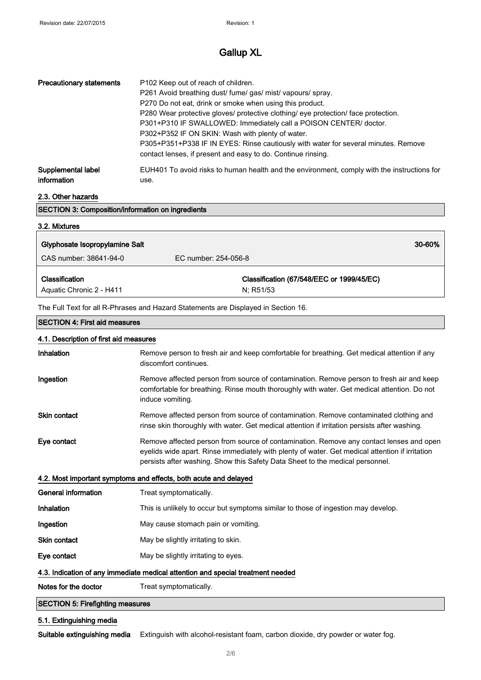| <b>Precautionary statements</b> | P102 Keep out of reach of children.<br>P261 Avoid breathing dust/ fume/ gas/ mist/ vapours/ spray.<br>P270 Do not eat, drink or smoke when using this product.<br>P280 Wear protective gloves/ protective clothing/ eye protection/ face protection.<br>P301+P310 IF SWALLOWED: Immediately call a POISON CENTER/ doctor.<br>P302+P352 IF ON SKIN: Wash with plenty of water.<br>P305+P351+P338 IF IN EYES: Rinse cautiously with water for several minutes. Remove<br>contact lenses, if present and easy to do. Continue rinsing. |
|---------------------------------|-------------------------------------------------------------------------------------------------------------------------------------------------------------------------------------------------------------------------------------------------------------------------------------------------------------------------------------------------------------------------------------------------------------------------------------------------------------------------------------------------------------------------------------|
| Supplemental label              | EUH401 To avoid risks to human health and the environment, comply with the instructions for                                                                                                                                                                                                                                                                                                                                                                                                                                         |
| information                     | use.                                                                                                                                                                                                                                                                                                                                                                                                                                                                                                                                |

### 2.3. Other hazards

| <b>SECTION 3: Composition/information on ingredients</b> |  |
|----------------------------------------------------------|--|
| 3.2. Mixtures                                            |  |
|                                                          |  |

| Glyphosate Isopropylamine Salt |                                           | 30-60% |
|--------------------------------|-------------------------------------------|--------|
| CAS number: 38641-94-0         | EC number: 254-056-8                      |        |
| Classification                 | Classification (67/548/EEC or 1999/45/EC) |        |
| Aquatic Chronic 2 - H411       | N: R51/53                                 |        |

The Full Text for all R-Phrases and Hazard Statements are Displayed in Section 16.

#### SECTION 4: First aid measures

| 4.1. Description of first aid measures                                          |                                                                                                                                                                                                                                                                             |
|---------------------------------------------------------------------------------|-----------------------------------------------------------------------------------------------------------------------------------------------------------------------------------------------------------------------------------------------------------------------------|
| Inhalation                                                                      | Remove person to fresh air and keep comfortable for breathing. Get medical attention if any<br>discomfort continues.                                                                                                                                                        |
| Ingestion                                                                       | Remove affected person from source of contamination. Remove person to fresh air and keep<br>comfortable for breathing. Rinse mouth thoroughly with water. Get medical attention. Do not<br>induce vomiting.                                                                 |
| <b>Skin contact</b>                                                             | Remove affected person from source of contamination. Remove contaminated clothing and<br>rinse skin thoroughly with water. Get medical attention if irritation persists after washing.                                                                                      |
| Eye contact                                                                     | Remove affected person from source of contamination. Remove any contact lenses and open<br>eyelids wide apart. Rinse immediately with plenty of water. Get medical attention if irritation<br>persists after washing. Show this Safety Data Sheet to the medical personnel. |
| 4.2. Most important symptoms and effects, both acute and delayed                |                                                                                                                                                                                                                                                                             |
| <b>General information</b>                                                      | Treat symptomatically.                                                                                                                                                                                                                                                      |
| Inhalation                                                                      | This is unlikely to occur but symptoms similar to those of ingestion may develop.                                                                                                                                                                                           |
| Ingestion                                                                       | May cause stomach pain or vomiting.                                                                                                                                                                                                                                         |
| <b>Skin contact</b>                                                             | May be slightly irritating to skin.                                                                                                                                                                                                                                         |
| Eye contact                                                                     | May be slightly irritating to eyes.                                                                                                                                                                                                                                         |
| 4.3. Indication of any immediate medical attention and special treatment needed |                                                                                                                                                                                                                                                                             |
| Notes for the doctor                                                            | Treat symptomatically.                                                                                                                                                                                                                                                      |
| <b>SECTION 5: Firefighting measures</b>                                         |                                                                                                                                                                                                                                                                             |

## 5.1. Extinguishing media

Suitable extinguishing media Extinguish with alcohol-resistant foam, carbon dioxide, dry powder or water fog.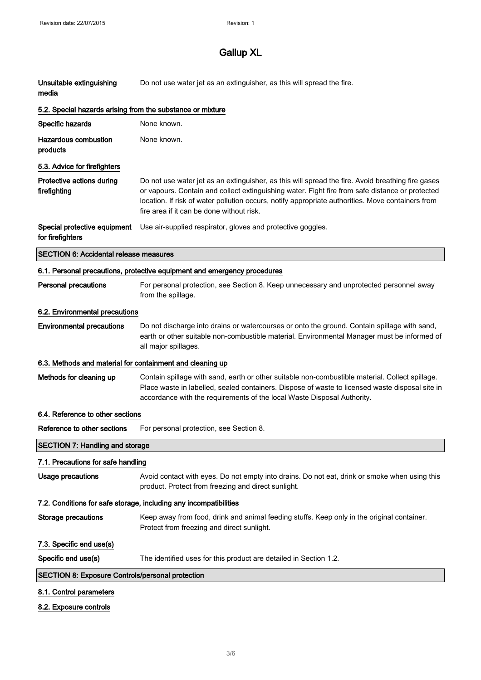| Unsuitable extinguishing<br>media                          | Do not use water jet as an extinguisher, as this will spread the fire.                                                                                                                                                                                                                                                                                 |  |
|------------------------------------------------------------|--------------------------------------------------------------------------------------------------------------------------------------------------------------------------------------------------------------------------------------------------------------------------------------------------------------------------------------------------------|--|
| 5.2. Special hazards arising from the substance or mixture |                                                                                                                                                                                                                                                                                                                                                        |  |
| Specific hazards                                           | None known.                                                                                                                                                                                                                                                                                                                                            |  |
| <b>Hazardous combustion</b><br>products                    | None known.                                                                                                                                                                                                                                                                                                                                            |  |
| 5.3. Advice for firefighters                               |                                                                                                                                                                                                                                                                                                                                                        |  |
| Protective actions during<br>firefighting                  | Do not use water jet as an extinguisher, as this will spread the fire. Avoid breathing fire gases<br>or vapours. Contain and collect extinguishing water. Fight fire from safe distance or protected<br>location. If risk of water pollution occurs, notify appropriate authorities. Move containers from<br>fire area if it can be done without risk. |  |
| Special protective equipment<br>for firefighters           | Use air-supplied respirator, gloves and protective goggles.                                                                                                                                                                                                                                                                                            |  |
| <b>SECTION 6: Accidental release measures</b>              |                                                                                                                                                                                                                                                                                                                                                        |  |
|                                                            | 6.1. Personal precautions, protective equipment and emergency procedures                                                                                                                                                                                                                                                                               |  |
| <b>Personal precautions</b>                                | For personal protection, see Section 8. Keep unnecessary and unprotected personnel away<br>from the spillage.                                                                                                                                                                                                                                          |  |
| 6.2. Environmental precautions                             |                                                                                                                                                                                                                                                                                                                                                        |  |
| <b>Environmental precautions</b>                           | Do not discharge into drains or watercourses or onto the ground. Contain spillage with sand,<br>earth or other suitable non-combustible material. Environmental Manager must be informed of<br>all major spillages.                                                                                                                                    |  |
| 6.3. Methods and material for containment and cleaning up  |                                                                                                                                                                                                                                                                                                                                                        |  |
| Methods for cleaning up                                    | Contain spillage with sand, earth or other suitable non-combustible material. Collect spillage.<br>Place waste in labelled, sealed containers. Dispose of waste to licensed waste disposal site in<br>accordance with the requirements of the local Waste Disposal Authority.                                                                          |  |
| 6.4. Reference to other sections                           |                                                                                                                                                                                                                                                                                                                                                        |  |
| Reference to other sections                                | For personal protection, see Section 8.                                                                                                                                                                                                                                                                                                                |  |
| <b>SECTION 7: Handling and storage</b>                     |                                                                                                                                                                                                                                                                                                                                                        |  |
| 7.1. Precautions for safe handling                         |                                                                                                                                                                                                                                                                                                                                                        |  |
| <b>Usage precautions</b>                                   | Avoid contact with eyes. Do not empty into drains. Do not eat, drink or smoke when using this<br>product. Protect from freezing and direct sunlight.                                                                                                                                                                                                   |  |
|                                                            | 7.2. Conditions for safe storage, including any incompatibilities                                                                                                                                                                                                                                                                                      |  |
| <b>Storage precautions</b>                                 | Keep away from food, drink and animal feeding stuffs. Keep only in the original container.<br>Protect from freezing and direct sunlight.                                                                                                                                                                                                               |  |
| 7.3. Specific end use(s)                                   |                                                                                                                                                                                                                                                                                                                                                        |  |
| Specific end use(s)                                        | The identified uses for this product are detailed in Section 1.2.                                                                                                                                                                                                                                                                                      |  |
| <b>SECTION 8: Exposure Controls/personal protection</b>    |                                                                                                                                                                                                                                                                                                                                                        |  |
| 8.1. Control parameters                                    |                                                                                                                                                                                                                                                                                                                                                        |  |

## 8.2. Exposure controls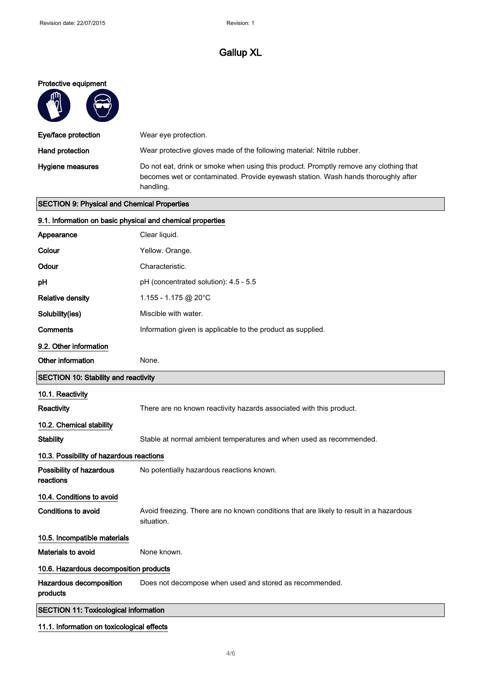#### Protective equipment

| V V                 |                                                                                                                                                                                         |
|---------------------|-----------------------------------------------------------------------------------------------------------------------------------------------------------------------------------------|
| Eye/face protection | Wear eye protection.                                                                                                                                                                    |
| Hand protection     | Wear protective gloves made of the following material: Nitrile rubber.                                                                                                                  |
| Hygiene measures    | Do not eat, drink or smoke when using this product. Promptly remove any clothing that<br>becomes wet or contaminated. Provide eyewash station. Wash hands thoroughly after<br>handling. |

## SECTION 9: Physical and Chemical Properties

 $\bigodot$  $\overline{\mathcal{L}}$ 

| 9.1. Information on basic physical and chemical properties                                           |  |
|------------------------------------------------------------------------------------------------------|--|
| Clear liquid.                                                                                        |  |
| Yellow. Orange.                                                                                      |  |
| Characteristic.                                                                                      |  |
| pH (concentrated solution): 4.5 - 5.5                                                                |  |
| 1.155 - 1.175 @ 20°C                                                                                 |  |
| Miscible with water.                                                                                 |  |
| Information given is applicable to the product as supplied.                                          |  |
|                                                                                                      |  |
| None.                                                                                                |  |
| <b>SECTION 10: Stability and reactivity</b>                                                          |  |
|                                                                                                      |  |
| There are no known reactivity hazards associated with this product.                                  |  |
|                                                                                                      |  |
| Stable at normal ambient temperatures and when used as recommended.                                  |  |
| 10.3. Possibility of hazardous reactions                                                             |  |
| No potentially hazardous reactions known.                                                            |  |
|                                                                                                      |  |
| Avoid freezing. There are no known conditions that are likely to result in a hazardous<br>situation. |  |
|                                                                                                      |  |
| None known.                                                                                          |  |
| 10.6. Hazardous decomposition products                                                               |  |
| Does not decompose when used and stored as recommended.                                              |  |
| <b>SECTION 11: Toxicological information</b>                                                         |  |
|                                                                                                      |  |

## 11.1. Information on toxicological effects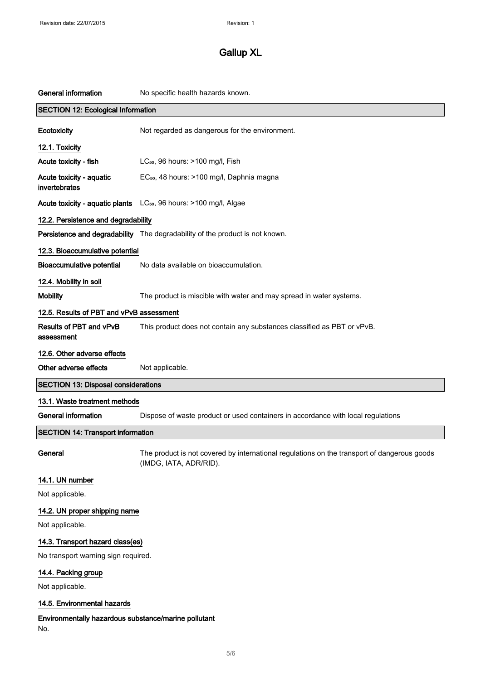| <b>General information</b>                                  | No specific health hazards known.                                                                                     |
|-------------------------------------------------------------|-----------------------------------------------------------------------------------------------------------------------|
| <b>SECTION 12: Ecological Information</b>                   |                                                                                                                       |
| Ecotoxicity                                                 | Not regarded as dangerous for the environment.                                                                        |
| 12.1. Toxicity                                              |                                                                                                                       |
| Acute toxicity - fish                                       | LC <sub>50</sub> , 96 hours: >100 mg/l, Fish                                                                          |
| Acute toxicity - aquatic<br>invertebrates                   | EC <sub>50</sub> , 48 hours: >100 mg/l, Daphnia magna                                                                 |
|                                                             | Acute toxicity - aquatic plants LC <sub>50</sub> , 96 hours: >100 mg/l, Algae                                         |
| 12.2. Persistence and degradability                         |                                                                                                                       |
|                                                             | Persistence and degradability The degradability of the product is not known.                                          |
| 12.3. Bioaccumulative potential                             |                                                                                                                       |
| <b>Bioaccumulative potential</b>                            | No data available on bioaccumulation.                                                                                 |
| 12.4. Mobility in soil                                      |                                                                                                                       |
| <b>Mobility</b>                                             | The product is miscible with water and may spread in water systems.                                                   |
| 12.5. Results of PBT and vPvB assessment                    |                                                                                                                       |
| Results of PBT and vPvB<br>assessment                       | This product does not contain any substances classified as PBT or vPvB.                                               |
| 12.6. Other adverse effects                                 |                                                                                                                       |
| Other adverse effects                                       | Not applicable.                                                                                                       |
| <b>SECTION 13: Disposal considerations</b>                  |                                                                                                                       |
| 13.1. Waste treatment methods                               |                                                                                                                       |
| <b>General information</b>                                  | Dispose of waste product or used containers in accordance with local regulations                                      |
| <b>SECTION 14: Transport information</b>                    |                                                                                                                       |
| General                                                     | The product is not covered by international regulations on the transport of dangerous goods<br>(IMDG, IATA, ADR/RID). |
| 14.1. UN number                                             |                                                                                                                       |
| Not applicable.                                             |                                                                                                                       |
| 14.2. UN proper shipping name                               |                                                                                                                       |
| Not applicable.                                             |                                                                                                                       |
| 14.3. Transport hazard class(es)                            |                                                                                                                       |
| No transport warning sign required.                         |                                                                                                                       |
| 14.4. Packing group                                         |                                                                                                                       |
| Not applicable.                                             |                                                                                                                       |
| 14.5. Environmental hazards                                 |                                                                                                                       |
| Environmentally hazardous substance/marine pollutant<br>No. |                                                                                                                       |